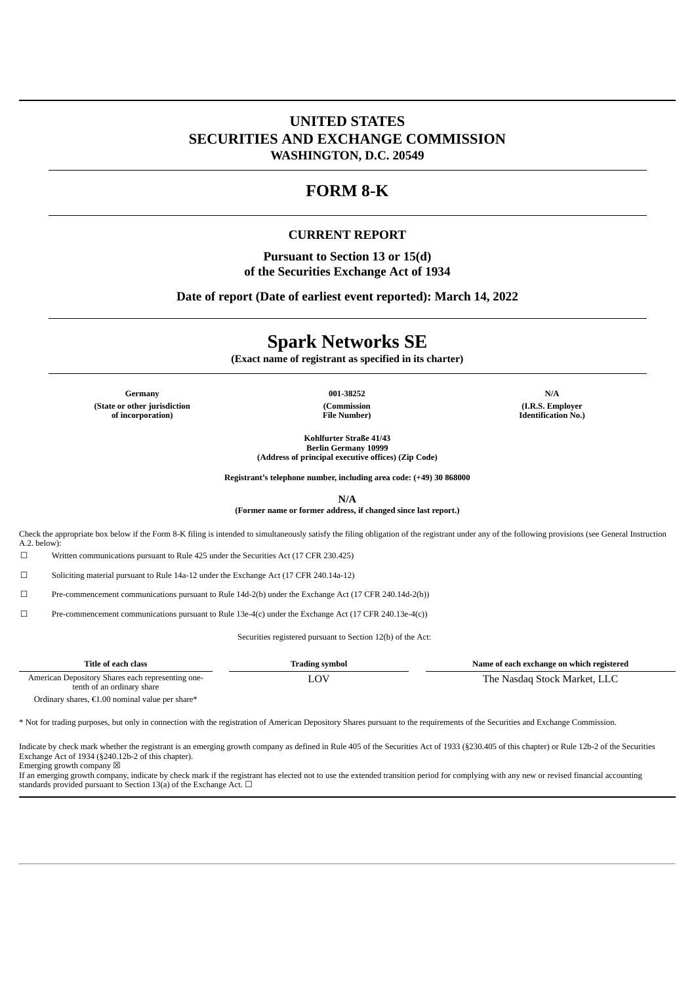## **UNITED STATES SECURITIES AND EXCHANGE COMMISSION WASHINGTON, D.C. 20549**

# **FORM 8-K**

#### **CURRENT REPORT**

**Pursuant to Section 13 or 15(d) of the Securities Exchange Act of 1934**

**Date of report (Date of earliest event reported): March 14, 2022**

# **Spark Networks SE**

**(Exact name of registrant as specified in its charter)**

**Germany 001-38252 N/A (State or other jurisdiction of incorporation)**

**(Commission File Number)**

**(I.R.S. Employer Identification No.)**

**Kohlfurter Straße 41/43 Berlin Germany 10999 (Address of principal executive offices) (Zip Code)**

**Registrant's telephone number, including area code: (+49) 30 868000**

**N/A**

**(Former name or former address, if changed since last report.)**

Check the appropriate box below if the Form 8-K filing is intended to simultaneously satisfy the filing obligation of the registrant under any of the following provisions (see General Instruction  $A.2.$  below)

☐ Written communications pursuant to Rule 425 under the Securities Act (17 CFR 230.425)

☐ Soliciting material pursuant to Rule 14a-12 under the Exchange Act (17 CFR 240.14a-12)

☐ Pre-commencement communications pursuant to Rule 14d-2(b) under the Exchange Act (17 CFR 240.14d-2(b))

 $\square$  Pre-commencement communications pursuant to Rule 13e-4(c) under the Exchange Act (17 CFR 240.13e-4(c))

Securities registered pursuant to Section 12(b) of the Act:

| Title of each class                                                             | Trading symbol | Name of each exchange on which registered |
|---------------------------------------------------------------------------------|----------------|-------------------------------------------|
| American Depository Shares each representing one-<br>tenth of an ordinary share |                | The Nasdag Stock Market, LLC              |

Ordinary shares, €1.00 nominal value per share\*

\* Not for trading purposes, but only in connection with the registration of American Depository Shares pursuant to the requirements of the Securities and Exchange Commission.

Indicate by check mark whether the registrant is an emerging growth company as defined in Rule 405 of the Securities Act of 1933 (§230.405 of this chapter) or Rule 12b-2 of the Securities Exchange Act of 1934 (§240.12b-2 of this chapter).

Emerging growth company  $\boxtimes$ 

If an emerging growth company, indicate by check mark if the registrant has elected not to use the extended transition period for complying with any new or revised financial accounting standards provided pursuant to Section 13(a) of the Exchange Act.  $\Box$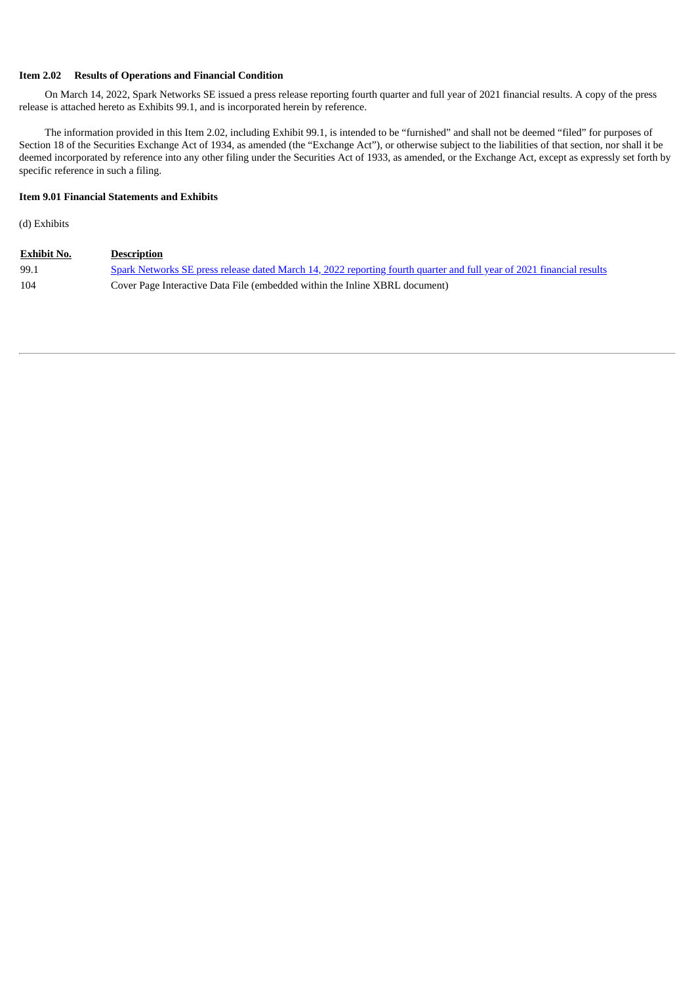#### **Item 2.02 Results of Operations and Financial Condition**

On March 14, 2022, Spark Networks SE issued a press release reporting fourth quarter and full year of 2021 financial results. A copy of the press release is attached hereto as Exhibits 99.1, and is incorporated herein by reference.

The information provided in this Item 2.02, including Exhibit 99.1, is intended to be "furnished" and shall not be deemed "filed" for purposes of Section 18 of the Securities Exchange Act of 1934, as amended (the "Exchange Act"), or otherwise subject to the liabilities of that section, nor shall it be deemed incorporated by reference into any other filing under the Securities Act of 1933, as amended, or the Exchange Act, except as expressly set forth by specific reference in such a filing.

#### **Item 9.01 Financial Statements and Exhibits**

(d) Exhibits

| <b>Exhibit No.</b> | <b>Description</b>                                                                                                           |
|--------------------|------------------------------------------------------------------------------------------------------------------------------|
| 99.1               | <u>Spark Networks SE press release dated March 14, 2022 reporting fourth quarter and full year of 2021 financial results</u> |
| 104                | Cover Page Interactive Data File (embedded within the Inline XBRL document)                                                  |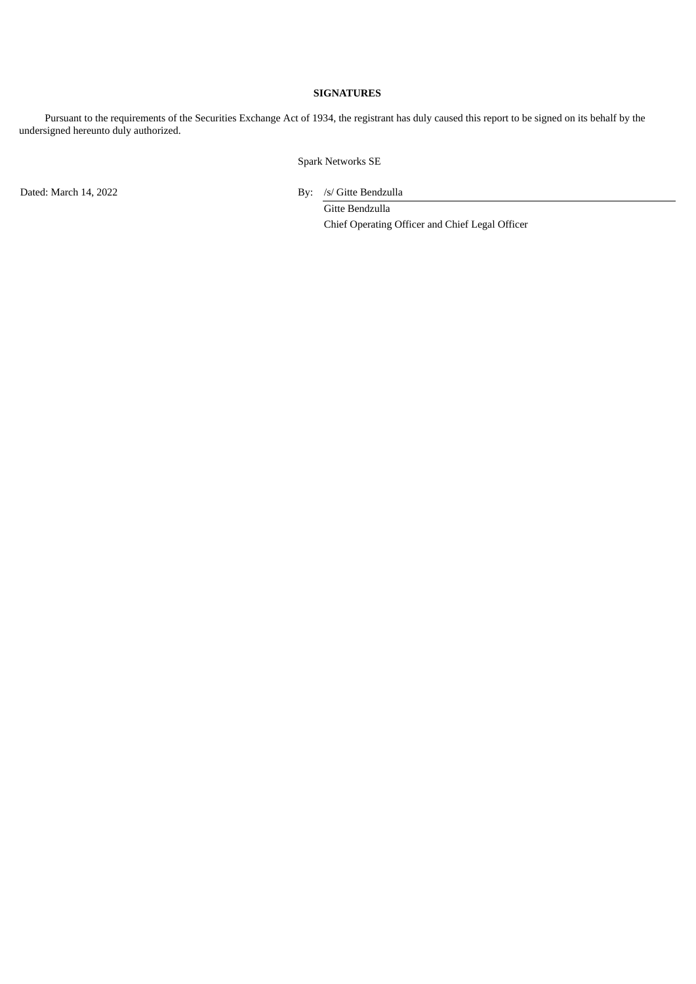#### **SIGNATURES**

Pursuant to the requirements of the Securities Exchange Act of 1934, the registrant has duly caused this report to be signed on its behalf by the undersigned hereunto duly authorized.

Spark Networks SE

Dated: March 14, 2022 By: /s/ Gitte Bendzulla

Gitte Bendzulla Chief Operating Officer and Chief Legal Officer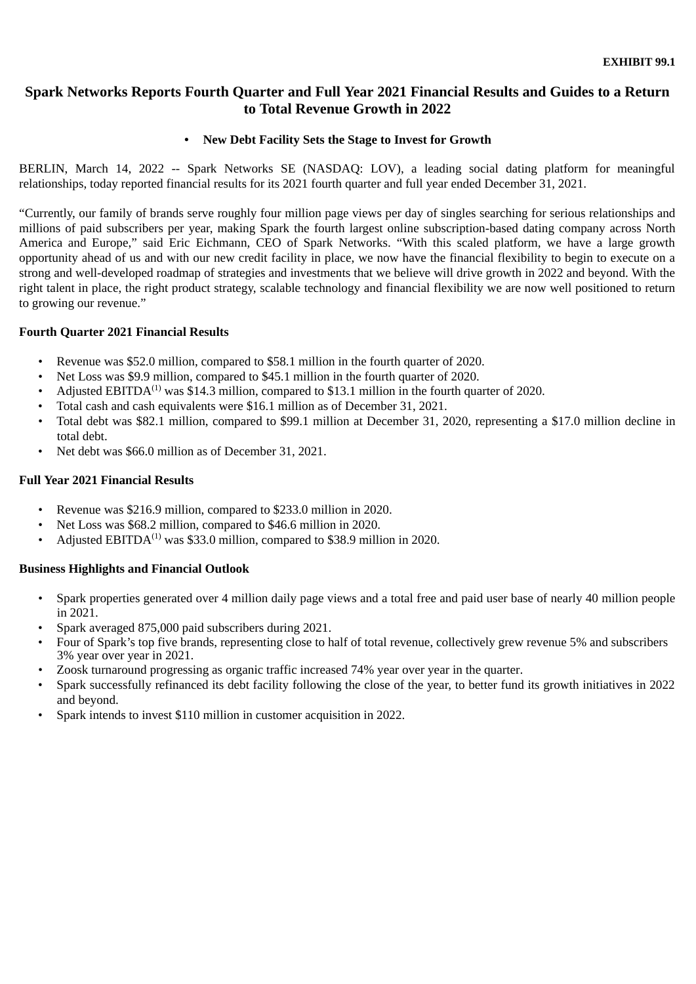# <span id="page-3-0"></span>**Spark Networks Reports Fourth Quarter and Full Year 2021 Financial Results and Guides to a Return to Total Revenue Growth in 2022**

## **• New Debt Facility Sets the Stage to Invest for Growth**

BERLIN, March 14, 2022 -- Spark Networks SE (NASDAQ: LOV), a leading social dating platform for meaningful relationships, today reported financial results for its 2021 fourth quarter and full year ended December 31, 2021.

"Currently, our family of brands serve roughly four million page views per day of singles searching for serious relationships and millions of paid subscribers per year, making Spark the fourth largest online subscription-based dating company across North America and Europe," said Eric Eichmann, CEO of Spark Networks. "With this scaled platform, we have a large growth opportunity ahead of us and with our new credit facility in place, we now have the financial flexibility to begin to execute on a strong and well-developed roadmap of strategies and investments that we believe will drive growth in 2022 and beyond. With the right talent in place, the right product strategy, scalable technology and financial flexibility we are now well positioned to return to growing our revenue."

## **Fourth Quarter 2021 Financial Results**

- *•* Revenue was \$52.0 million, compared to \$58.1 million in the fourth quarter of 2020.
- *•* Net Loss was \$9.9 million, compared to \$45.1 million in the fourth quarter of 2020.
- Adjusted EBITDA<sup> $(1)$ </sup> was \$14.3 million, compared to \$13.1 million in the fourth quarter of 2020.
- Total cash and cash equivalents were \$16.1 million as of December 31, 2021.
- *•* Total debt was \$82.1 million, compared to \$99.1 million at December 31, 2020, representing a \$17.0 million decline in total debt.
- Net debt was \$66.0 million as of December 31, 2021.

## **Full Year 2021 Financial Results**

- *•* Revenue was \$216.9 million, compared to \$233.0 million in 2020.
- *•* Net Loss was \$68.2 million, compared to \$46.6 million in 2020.
- Adjusted EBITDA<sup>(1)</sup> was \$33.0 million, compared to \$38.9 million in 2020.

## **Business Highlights and Financial Outlook**

- *•* Spark properties generated over 4 million daily page views and a total free and paid user base of nearly 40 million people in 2021.
- Spark averaged 875,000 paid subscribers during 2021.
- Four of Spark's top five brands, representing close to half of total revenue, collectively grew revenue 5% and subscribers 3% year over year in 2021.
- *•* Zoosk turnaround progressing as organic traffic increased 74% year over year in the quarter.
- Spark successfully refinanced its debt facility following the close of the year, to better fund its growth initiatives in 2022 and beyond.
- Spark intends to invest \$110 million in customer acquisition in 2022.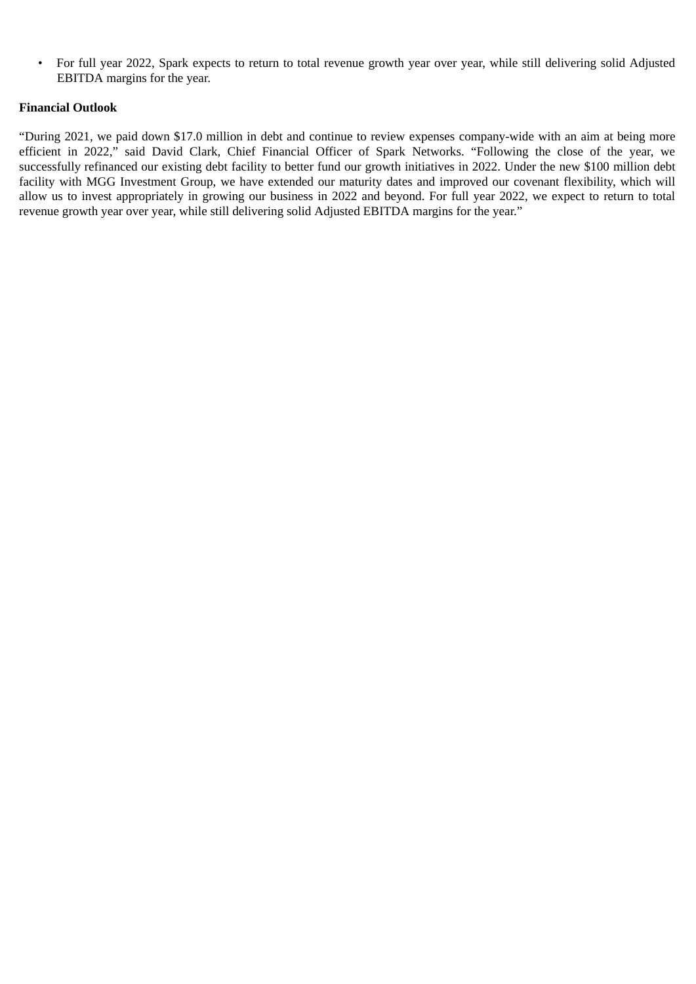• For full year 2022, Spark expects to return to total revenue growth year over year, while still delivering solid Adjusted EBITDA margins for the year.

## **Financial Outlook**

"During 2021, we paid down \$17.0 million in debt and continue to review expenses company-wide with an aim at being more efficient in 2022," said David Clark, Chief Financial Officer of Spark Networks. "Following the close of the year, we successfully refinanced our existing debt facility to better fund our growth initiatives in 2022. Under the new \$100 million debt facility with MGG Investment Group, we have extended our maturity dates and improved our covenant flexibility, which will allow us to invest appropriately in growing our business in 2022 and beyond. For full year 2022, we expect to return to total revenue growth year over year, while still delivering solid Adjusted EBITDA margins for the year."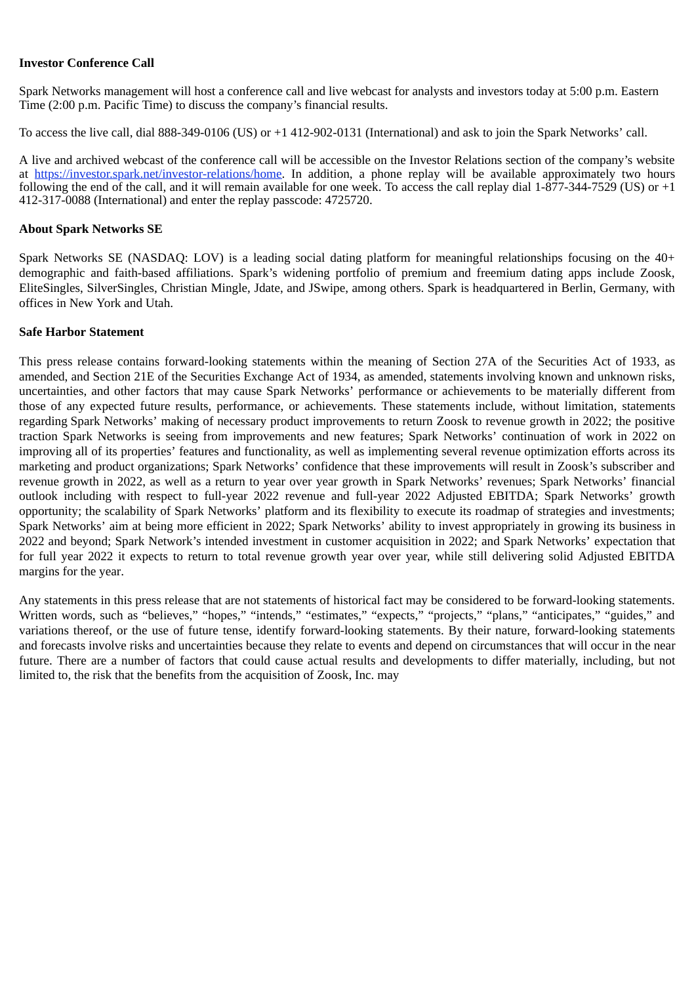## **Investor Conference Call**

Spark Networks management will host a conference call and live webcast for analysts and investors today at 5:00 p.m. Eastern Time (2:00 p.m. Pacific Time) to discuss the company's financial results.

To access the live call, dial 888-349-0106 (US) or +1 412-902-0131 (International) and ask to join the Spark Networks' call.

A live and archived webcast of the conference call will be accessible on the Investor Relations section of the company's website at https://investor.spark.net/investor-relations/home. In addition, a phone replay will be available approximately two hours following the end of the call, and it will remain available for one week. To access the call replay dial  $1-877-344-7529$  (US) or  $+1$ 412-317-0088 (International) and enter the replay passcode: 4725720.

### **About Spark Networks SE**

Spark Networks SE (NASDAQ: LOV) is a leading social dating platform for meaningful relationships focusing on the 40+ demographic and faith-based affiliations. Spark's widening portfolio of premium and freemium dating apps include Zoosk, EliteSingles, SilverSingles, Christian Mingle, Jdate, and JSwipe, among others. Spark is headquartered in Berlin, Germany, with offices in New York and Utah.

#### **Safe Harbor Statement**

This press release contains forward-looking statements within the meaning of Section 27A of the Securities Act of 1933, as amended, and Section 21E of the Securities Exchange Act of 1934, as amended, statements involving known and unknown risks, uncertainties, and other factors that may cause Spark Networks' performance or achievements to be materially different from those of any expected future results, performance, or achievements. These statements include, without limitation, statements regarding Spark Networks' making of necessary product improvements to return Zoosk to revenue growth in 2022; the positive traction Spark Networks is seeing from improvements and new features; Spark Networks' continuation of work in 2022 on improving all of its properties' features and functionality, as well as implementing several revenue optimization efforts across its marketing and product organizations; Spark Networks' confidence that these improvements will result in Zoosk's subscriber and revenue growth in 2022, as well as a return to year over year growth in Spark Networks' revenues; Spark Networks' financial outlook including with respect to full-year 2022 revenue and full-year 2022 Adjusted EBITDA; Spark Networks' growth opportunity; the scalability of Spark Networks' platform and its flexibility to execute its roadmap of strategies and investments; Spark Networks' aim at being more efficient in 2022; Spark Networks' ability to invest appropriately in growing its business in 2022 and beyond; Spark Network's intended investment in customer acquisition in 2022; and Spark Networks' expectation that for full year 2022 it expects to return to total revenue growth year over year, while still delivering solid Adjusted EBITDA margins for the year.

Any statements in this press release that are not statements of historical fact may be considered to be forward-looking statements. Written words, such as "believes," "hopes," "intends," "estimates," "expects," "projects," "plans," "anticipates," "guides," and variations thereof, or the use of future tense, identify forward-looking statements. By their nature, forward-looking statements and forecasts involve risks and uncertainties because they relate to events and depend on circumstances that will occur in the near future. There are a number of factors that could cause actual results and developments to differ materially, including, but not limited to, the risk that the benefits from the acquisition of Zoosk, Inc. may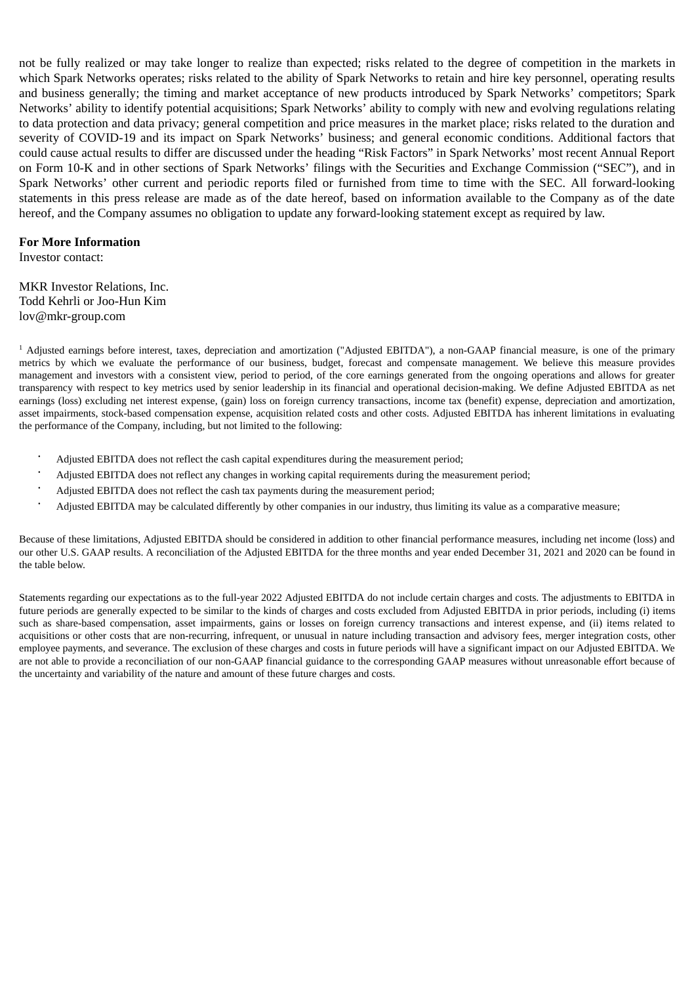not be fully realized or may take longer to realize than expected; risks related to the degree of competition in the markets in which Spark Networks operates; risks related to the ability of Spark Networks to retain and hire key personnel, operating results and business generally; the timing and market acceptance of new products introduced by Spark Networks' competitors; Spark Networks' ability to identify potential acquisitions; Spark Networks' ability to comply with new and evolving regulations relating to data protection and data privacy; general competition and price measures in the market place; risks related to the duration and severity of COVID-19 and its impact on Spark Networks' business; and general economic conditions. Additional factors that could cause actual results to differ are discussed under the heading "Risk Factors" in Spark Networks' most recent Annual Report on Form 10-K and in other sections of Spark Networks' filings with the Securities and Exchange Commission ("SEC"), and in Spark Networks' other current and periodic reports filed or furnished from time to time with the SEC. All forward-looking statements in this press release are made as of the date hereof, based on information available to the Company as of the date hereof, and the Company assumes no obligation to update any forward-looking statement except as required by law.

### **For More Information**

Investor contact:

MKR Investor Relations, Inc. Todd Kehrli or Joo-Hun Kim lov@mkr-group.com

 $^1$  Adjusted earnings before interest, taxes, depreciation and amortization ("Adjusted EBITDA"), a non-GAAP financial measure, is one of the primary metrics by which we evaluate the performance of our business, budget, forecast and compensate management. We believe this measure provides management and investors with a consistent view, period to period, of the core earnings generated from the ongoing operations and allows for greater transparency with respect to key metrics used by senior leadership in its financial and operational decision-making. We define Adjusted EBITDA as net earnings (loss) excluding net interest expense, (gain) loss on foreign currency transactions, income tax (benefit) expense, depreciation and amortization, asset impairments, stock-based compensation expense, acquisition related costs and other costs. Adjusted EBITDA has inherent limitations in evaluating the performance of the Company, including, but not limited to the following:

- Adjusted EBITDA does not reflect the cash capital expenditures during the measurement period; •
- Adjusted EBITDA does not reflect any changes in working capital requirements during the measurement period; •
- Adjusted EBITDA does not reflect the cash tax payments during the measurement period; •
- Adjusted EBITDA may be calculated differently by other companies in our industry, thus limiting its value as a comparative measure; •

Because of these limitations, Adjusted EBITDA should be considered in addition to other financial performance measures, including net income (loss) and our other U.S. GAAP results. A reconciliation of the Adjusted EBITDA for the three months and year ended December 31, 2021 and 2020 can be found in the table below.

Statements regarding our expectations as to the full-year 2022 Adjusted EBITDA do not include certain charges and costs. The adjustments to EBITDA in future periods are generally expected to be similar to the kinds of charges and costs excluded from Adjusted EBITDA in prior periods, including (i) items such as share-based compensation, asset impairments, gains or losses on foreign currency transactions and interest expense, and (ii) items related to acquisitions or other costs that are non-recurring, infrequent, or unusual in nature including transaction and advisory fees, merger integration costs, other employee payments, and severance. The exclusion of these charges and costs in future periods will have a significant impact on our Adjusted EBITDA. We are not able to provide a reconciliation of our non-GAAP financial guidance to the corresponding GAAP measures without unreasonable effort because of the uncertainty and variability of the nature and amount of these future charges and costs.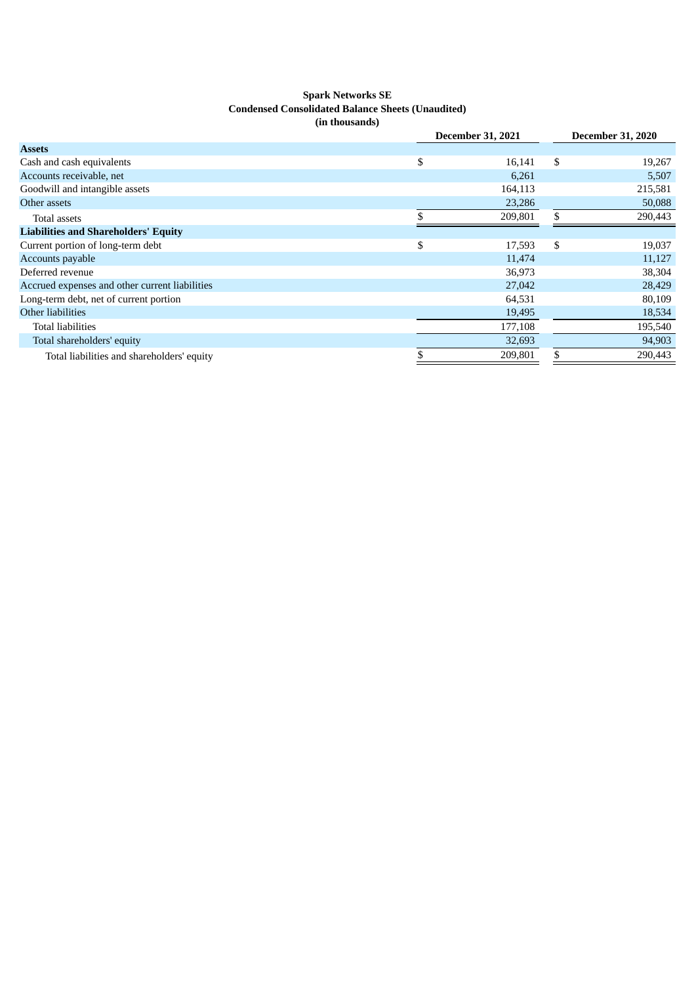#### **Spark Networks SE Condensed Consolidated Balance Sheets (Unaudited) (in thousands)**

|              | <b>December 31, 2020</b> |         |  |
|--------------|--------------------------|---------|--|
|              |                          |         |  |
| \$<br>16,141 | \$                       | 19,267  |  |
| 6,261        |                          | 5,507   |  |
| 164,113      |                          | 215,581 |  |
| 23,286       |                          | 50,088  |  |
| 209,801      | \$.                      | 290,443 |  |
|              |                          |         |  |
| \$<br>17,593 | S                        | 19,037  |  |
| 11,474       |                          | 11,127  |  |
| 36,973       |                          | 38,304  |  |
| 27,042       |                          | 28,429  |  |
| 64,531       |                          | 80,109  |  |
| 19,495       |                          | 18,534  |  |
| 177,108      |                          | 195,540 |  |
| 32,693       |                          | 94,903  |  |
| 209,801      |                          | 290,443 |  |
|              | <b>December 31, 2021</b> |         |  |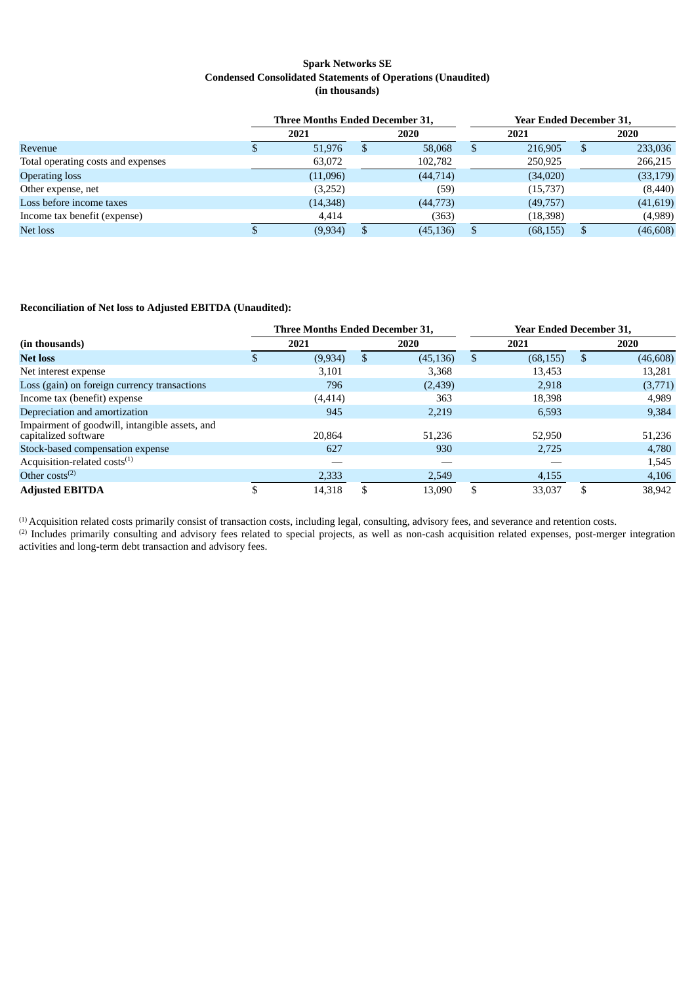#### **Spark Networks SE Condensed Consolidated Statements of Operations (Unaudited) (in thousands)**

|                                    | Three Months Ended December 31, |  |           | <b>Year Ended December 31,</b> |           |    |           |
|------------------------------------|---------------------------------|--|-----------|--------------------------------|-----------|----|-----------|
|                                    | 2021                            |  | 2020      |                                | 2021      |    | 2020      |
| Revenue                            | 51,976                          |  | 58,068    | S                              | 216.905   | -S | 233,036   |
| Total operating costs and expenses | 63,072                          |  | 102,782   |                                | 250,925   |    | 266,215   |
| <b>Operating loss</b>              | (11,096)                        |  | (44, 714) |                                | (34,020)  |    | (33, 179) |
| Other expense, net                 | (3,252)                         |  | (59)      |                                | (15,737)  |    | (8,440)   |
| Loss before income taxes           | (14,348)                        |  | (44,773)  |                                | (49,757)  |    | (41, 619) |
| Income tax benefit (expense)       | 4,414                           |  | (363)     |                                | (18, 398) |    | (4,989)   |
| Net loss                           | (9, 934)                        |  | (45, 136) |                                | (68, 155) |    | (46, 608) |

#### **Reconciliation of Net loss to Adjusted EBITDA (Unaudited):**

|                                                                        | <b>Three Months Ended December 31.</b> |  |           |     | <b>Year Ended December 31.</b> |     |           |  |
|------------------------------------------------------------------------|----------------------------------------|--|-----------|-----|--------------------------------|-----|-----------|--|
| (in thousands)                                                         | 2021                                   |  | 2020      |     | 2021                           |     | 2020      |  |
| <b>Net loss</b>                                                        | (9, 934)                               |  | (45, 136) | \$  | (68, 155)                      | S   | (46, 608) |  |
| Net interest expense                                                   | 3,101                                  |  | 3,368     |     | 13,453                         |     | 13,281    |  |
| Loss (gain) on foreign currency transactions                           | 796                                    |  | (2,439)   |     | 2,918                          |     | (3,771)   |  |
| Income tax (benefit) expense                                           | (4, 414)                               |  | 363       |     | 18,398                         |     | 4,989     |  |
| Depreciation and amortization                                          | 945                                    |  | 2,219     |     | 6,593                          |     | 9,384     |  |
| Impairment of goodwill, intangible assets, and<br>capitalized software | 20,864                                 |  | 51.236    |     | 52,950                         |     | 51,236    |  |
| Stock-based compensation expense                                       | 627                                    |  | 930       |     | 2,725                          |     | 4,780     |  |
| Acquisition-related costs <sup>(1)</sup>                               |                                        |  |           |     |                                |     | 1,545     |  |
| Other $costs^{(2)}$                                                    | 2,333                                  |  | 2,549     |     | 4,155                          |     | 4,106     |  |
| <b>Adjusted EBITDA</b>                                                 | 14,318                                 |  | 13.090    | \$. | 33,037                         | \$. | 38,942    |  |

 $<sup>(1)</sup>$  Acquisition related costs primarily consist of transaction costs, including legal, consulting, advisory fees, and severance and retention costs.</sup>  $^{(2)}$  Includes primarily consulting and advisory fees related to special projects, as well as non-cash acquisition related expenses, post-merger integration activities and long-term debt transaction and advisory fees.